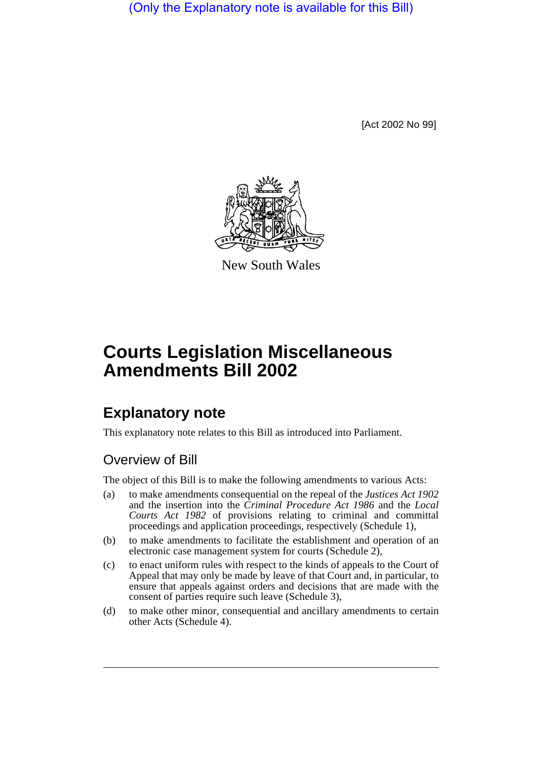(Only the Explanatory note is available for this Bill)

[Act 2002 No 99]



New South Wales

# **Courts Legislation Miscellaneous Amendments Bill 2002**

## **Explanatory note**

This explanatory note relates to this Bill as introduced into Parliament.

## Overview of Bill

The object of this Bill is to make the following amendments to various Acts:

- (a) to make amendments consequential on the repeal of the *Justices Act 1902* and the insertion into the *Criminal Procedure Act 1986* and the *Local Courts Act 1982* of provisions relating to criminal and committal proceedings and application proceedings, respectively (Schedule 1),
- (b) to make amendments to facilitate the establishment and operation of an electronic case management system for courts (Schedule 2),
- (c) to enact uniform rules with respect to the kinds of appeals to the Court of Appeal that may only be made by leave of that Court and, in particular, to ensure that appeals against orders and decisions that are made with the consent of parties require such leave (Schedule 3),
- (d) to make other minor, consequential and ancillary amendments to certain other Acts (Schedule 4).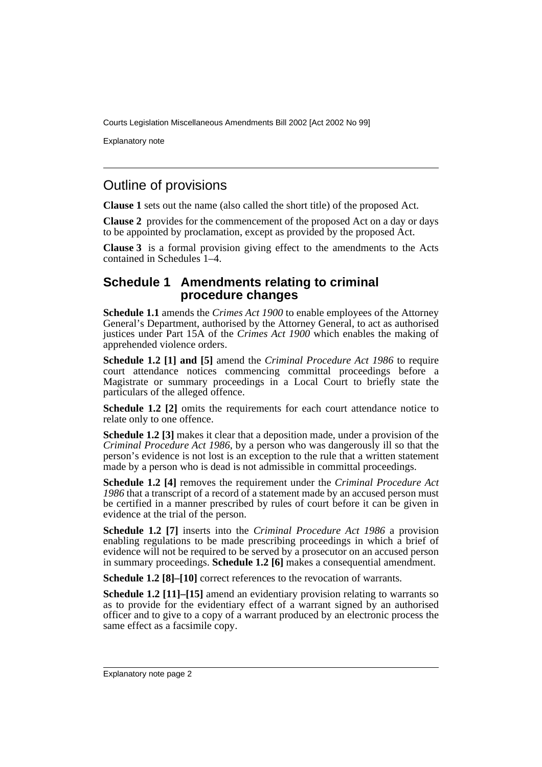Explanatory note

## Outline of provisions

**Clause 1** sets out the name (also called the short title) of the proposed Act.

**Clause 2** provides for the commencement of the proposed Act on a day or days to be appointed by proclamation, except as provided by the proposed Act.

**Clause 3** is a formal provision giving effect to the amendments to the Acts contained in Schedules 1–4.

#### **Schedule 1 Amendments relating to criminal procedure changes**

**Schedule 1.1** amends the *Crimes Act 1900* to enable employees of the Attorney General's Department, authorised by the Attorney General, to act as authorised justices under Part 15A of the *Crimes Act 1900* which enables the making of apprehended violence orders.

**Schedule 1.2 [1] and [5]** amend the *Criminal Procedure Act 1986* to require court attendance notices commencing committal proceedings before a Magistrate or summary proceedings in a Local Court to briefly state the particulars of the alleged offence.

**Schedule 1.2 [2]** omits the requirements for each court attendance notice to relate only to one offence.

**Schedule 1.2** [3] makes it clear that a deposition made, under a provision of the *Criminal Procedure Act 1986*, by a person who was dangerously ill so that the person's evidence is not lost is an exception to the rule that a written statement made by a person who is dead is not admissible in committal proceedings.

**Schedule 1.2 [4]** removes the requirement under the *Criminal Procedure Act 1986* that a transcript of a record of a statement made by an accused person must be certified in a manner prescribed by rules of court before it can be given in evidence at the trial of the person.

**Schedule 1.2 [7]** inserts into the *Criminal Procedure Act 1986* a provision enabling regulations to be made prescribing proceedings in which a brief of evidence will not be required to be served by a prosecutor on an accused person in summary proceedings. **Schedule 1.2 [6]** makes a consequential amendment.

**Schedule 1.2 [8]–[10]** correct references to the revocation of warrants.

**Schedule 1.2 [11]–[15]** amend an evidentiary provision relating to warrants so as to provide for the evidentiary effect of a warrant signed by an authorised officer and to give to a copy of a warrant produced by an electronic process the same effect as a facsimile copy.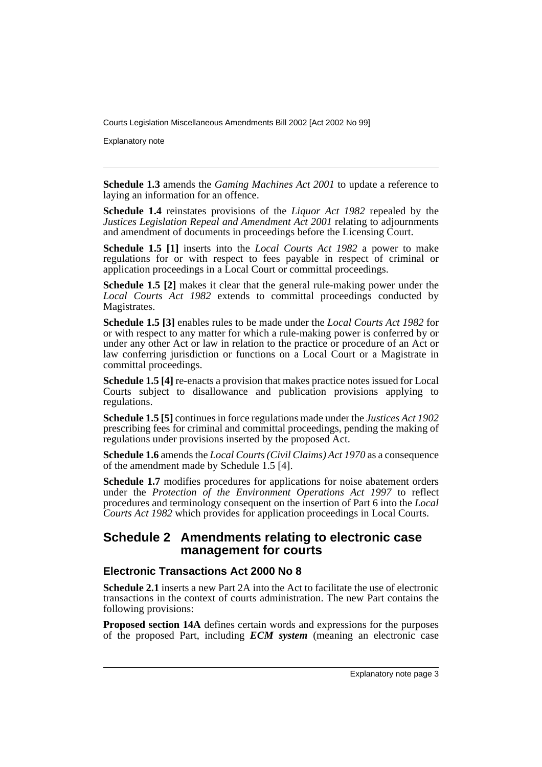Explanatory note

**Schedule 1.3** amends the *Gaming Machines Act 2001* to update a reference to laying an information for an offence.

**Schedule 1.4** reinstates provisions of the *Liquor Act 1982* repealed by the *Justices Legislation Repeal and Amendment Act 2001* relating to adjournments and amendment of documents in proceedings before the Licensing Court.

**Schedule 1.5 [1]** inserts into the *Local Courts Act 1982* a power to make regulations for or with respect to fees payable in respect of criminal or application proceedings in a Local Court or committal proceedings.

**Schedule 1.5 [2]** makes it clear that the general rule-making power under the *Local Courts Act 1982* extends to committal proceedings conducted by Magistrates.

**Schedule 1.5 [3]** enables rules to be made under the *Local Courts Act 1982* for or with respect to any matter for which a rule-making power is conferred by or under any other Act or law in relation to the practice or procedure of an Act or law conferring jurisdiction or functions on a Local Court or a Magistrate in committal proceedings.

**Schedule 1.5 [4]** re-enacts a provision that makes practice notes issued for Local Courts subject to disallowance and publication provisions applying to regulations.

**Schedule 1.5 [5]** continues in force regulations made under the *Justices Act 1902* prescribing fees for criminal and committal proceedings, pending the making of regulations under provisions inserted by the proposed Act.

**Schedule 1.6** amends the *Local Courts (Civil Claims) Act 1970* as a consequence of the amendment made by Schedule 1.5 [4].

**Schedule 1.7** modifies procedures for applications for noise abatement orders under the *Protection of the Environment Operations Act 1997* to reflect procedures and terminology consequent on the insertion of Part 6 into the *Local Courts Act 1982* which provides for application proceedings in Local Courts.

#### **Schedule 2 Amendments relating to electronic case management for courts**

#### **Electronic Transactions Act 2000 No 8**

**Schedule 2.1** inserts a new Part 2A into the Act to facilitate the use of electronic transactions in the context of courts administration. The new Part contains the following provisions:

**Proposed section 14A** defines certain words and expressions for the purposes of the proposed Part, including *ECM system* (meaning an electronic case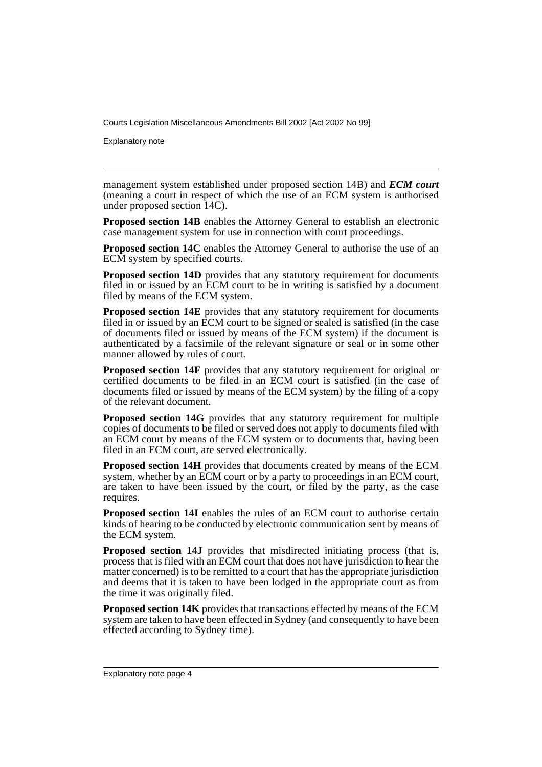Explanatory note

management system established under proposed section 14B) and *ECM court* (meaning a court in respect of which the use of an ECM system is authorised under proposed section 14C).

**Proposed section 14B** enables the Attorney General to establish an electronic case management system for use in connection with court proceedings.

**Proposed section 14C** enables the Attorney General to authorise the use of an ECM system by specified courts.

**Proposed section 14D** provides that any statutory requirement for documents filed in or issued by an ECM court to be in writing is satisfied by a document filed by means of the ECM system.

**Proposed section 14E** provides that any statutory requirement for documents filed in or issued by an ECM court to be signed or sealed is satisfied (in the case of documents filed or issued by means of the ECM system) if the document is authenticated by a facsimile of the relevant signature or seal or in some other manner allowed by rules of court.

**Proposed section 14F** provides that any statutory requirement for original or certified documents to be filed in an ECM court is satisfied (in the case of documents filed or issued by means of the ECM system) by the filing of a copy of the relevant document.

**Proposed section 14G** provides that any statutory requirement for multiple copies of documents to be filed or served does not apply to documents filed with an ECM court by means of the ECM system or to documents that, having been filed in an ECM court, are served electronically.

**Proposed section 14H** provides that documents created by means of the ECM system, whether by an ECM court or by a party to proceedings in an ECM court, are taken to have been issued by the court, or filed by the party, as the case requires.

**Proposed section 14I** enables the rules of an ECM court to authorise certain kinds of hearing to be conducted by electronic communication sent by means of the ECM system.

**Proposed section 14J** provides that misdirected initiating process (that is, process that is filed with an ECM court that does not have jurisdiction to hear the matter concerned) is to be remitted to a court that has the appropriate jurisdiction and deems that it is taken to have been lodged in the appropriate court as from the time it was originally filed.

**Proposed section 14K** provides that transactions effected by means of the ECM system are taken to have been effected in Sydney (and consequently to have been effected according to Sydney time).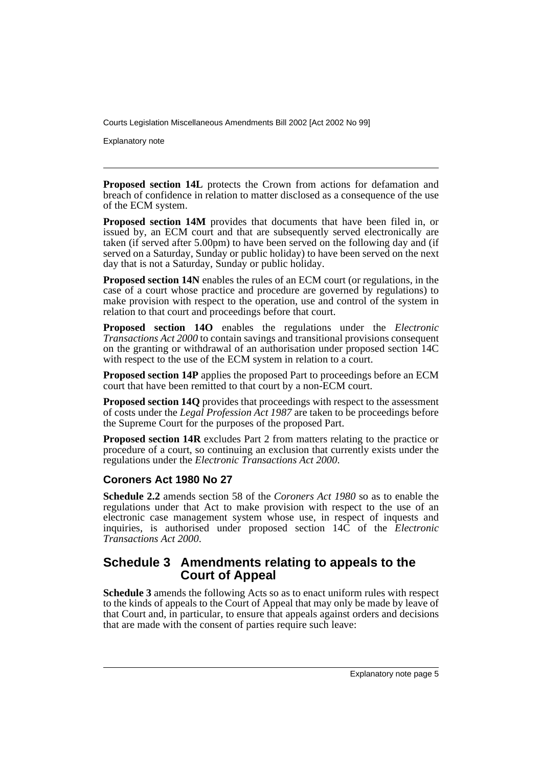Explanatory note

**Proposed section 14L** protects the Crown from actions for defamation and breach of confidence in relation to matter disclosed as a consequence of the use of the ECM system.

**Proposed section 14M** provides that documents that have been filed in, or issued by, an ECM court and that are subsequently served electronically are taken (if served after 5.00pm) to have been served on the following day and (if served on a Saturday, Sunday or public holiday) to have been served on the next day that is not a Saturday, Sunday or public holiday.

**Proposed section 14N** enables the rules of an ECM court (or regulations, in the case of a court whose practice and procedure are governed by regulations) to make provision with respect to the operation, use and control of the system in relation to that court and proceedings before that court.

**Proposed section 14O** enables the regulations under the *Electronic Transactions Act 2000* to contain savings and transitional provisions consequent on the granting or withdrawal of an authorisation under proposed section 14C with respect to the use of the ECM system in relation to a court.

**Proposed section 14P** applies the proposed Part to proceedings before an ECM court that have been remitted to that court by a non-ECM court.

**Proposed section 14Q** provides that proceedings with respect to the assessment of costs under the *Legal Profession Act 1987* are taken to be proceedings before the Supreme Court for the purposes of the proposed Part.

**Proposed section 14R** excludes Part 2 from matters relating to the practice or procedure of a court, so continuing an exclusion that currently exists under the regulations under the *Electronic Transactions Act 2000*.

#### **Coroners Act 1980 No 27**

**Schedule 2.2** amends section 58 of the *Coroners Act 1980* so as to enable the regulations under that Act to make provision with respect to the use of an electronic case management system whose use, in respect of inquests and inquiries, is authorised under proposed section 14C of the *Electronic Transactions Act 2000*.

#### **Schedule 3 Amendments relating to appeals to the Court of Appeal**

**Schedule 3** amends the following Acts so as to enact uniform rules with respect to the kinds of appeals to the Court of Appeal that may only be made by leave of that Court and, in particular, to ensure that appeals against orders and decisions that are made with the consent of parties require such leave: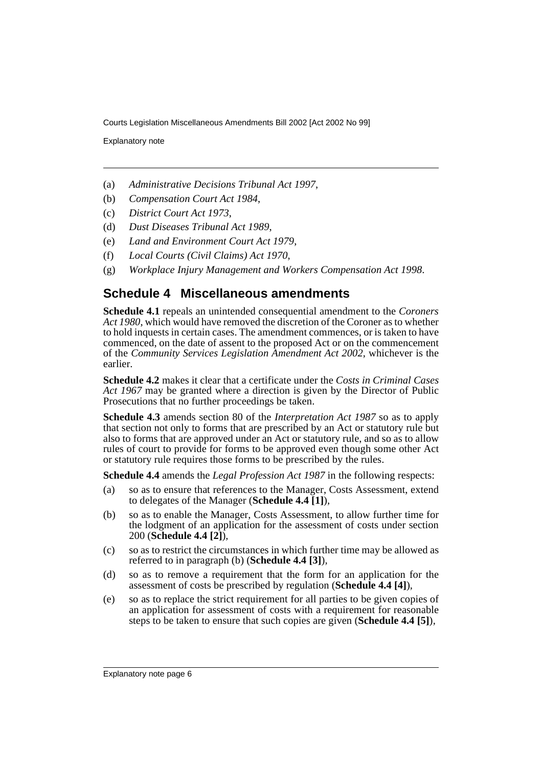Explanatory note

- (a) *Administrative Decisions Tribunal Act 1997*,
- (b) *Compensation Court Act 1984*,
- (c) *District Court Act 1973*,
- (d) *Dust Diseases Tribunal Act 1989*,
- (e) *Land and Environment Court Act 1979*,
- (f) *Local Courts (Civil Claims) Act 1970*,
- (g) *Workplace Injury Management and Workers Compensation Act 1998*.

#### **Schedule 4 Miscellaneous amendments**

**Schedule 4.1** repeals an unintended consequential amendment to the *Coroners Act 1980*, which would have removed the discretion of the Coroner as to whether to hold inquests in certain cases. The amendment commences, or is taken to have commenced, on the date of assent to the proposed Act or on the commencement of the *Community Services Legislation Amendment Act 2002*, whichever is the earlier.

**Schedule 4.2** makes it clear that a certificate under the *Costs in Criminal Cases Act 1967* may be granted where a direction is given by the Director of Public Prosecutions that no further proceedings be taken.

**Schedule 4.3** amends section 80 of the *Interpretation Act 1987* so as to apply that section not only to forms that are prescribed by an Act or statutory rule but also to forms that are approved under an Act or statutory rule, and so as to allow rules of court to provide for forms to be approved even though some other Act or statutory rule requires those forms to be prescribed by the rules.

**Schedule 4.4** amends the *Legal Profession Act 1987* in the following respects:

- (a) so as to ensure that references to the Manager, Costs Assessment, extend to delegates of the Manager (**Schedule 4.4 [1]**),
- (b) so as to enable the Manager, Costs Assessment, to allow further time for the lodgment of an application for the assessment of costs under section 200 (**Schedule 4.4 [2]**),
- (c) so as to restrict the circumstances in which further time may be allowed as referred to in paragraph (b) (**Schedule 4.4 [3]**),
- (d) so as to remove a requirement that the form for an application for the assessment of costs be prescribed by regulation (**Schedule 4.4 [4]**),
- (e) so as to replace the strict requirement for all parties to be given copies of an application for assessment of costs with a requirement for reasonable steps to be taken to ensure that such copies are given (**Schedule 4.4 [5]**),